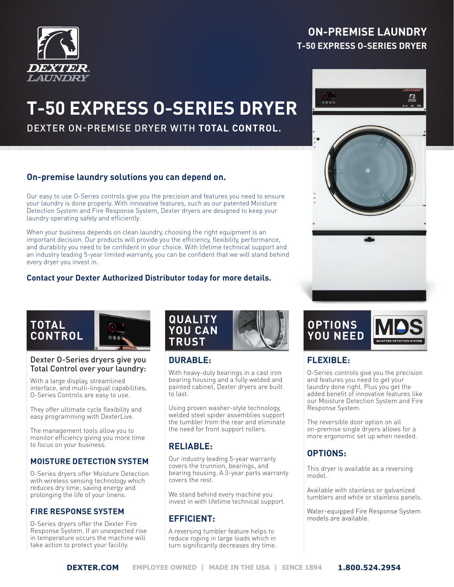

## **ON-PREMISE LAUNDRY T-50 EXPRESS O-SERIES DRYER**

# **T-50 EXPRESS O-SERIES DRYER**

DEXTER ON-PREMISE DRYER WITH **TOTAL CONTROL.**

## **On-premise laundry solutions you can depend on.**

Our easy to use O-Series controls give you the precision and features you need to ensure your laundry is done properly. With innovative features, such as our patented Moisture Detection System and Fire Response System, Dexter dryers are designed to keep your laundry operating safely and efficiently.

When your business depends on clean laundry, choosing the right equipment is an important decision. Our products will provide you the efficiency, flexibility, performance, and durability you need to be confident in your choice. With lifetime technical support and an industry leading 5-year limited warranty, you can be confident that we will stand behind every dryer you invest in.

#### **Contact your Dexter Authorized Distributor today for more details.**





#### Dexter O-Series dryers give you Total Control over your laundry:

With a large display, streamlined interface, and multi-lingual capabilities, O-Series Controls are easy to use.

They offer ultimate cycle flexibility and easy programming with DexterLive.

The management tools allow you to monitor efficiency giving you more time to focus on your business.

#### **MOISTURE DETECTION SYSTEM**

O-Series dryers offer Moisture Detection with wireless sensing technology which reduces dry time; saving energy and prolonging the life of your linens.

#### **FIRE RESPONSE SYSTEM**

O-Series dryers offer the Dexter Fire Response System. If an unexpected rise in temperature occurs the machine will take action to protect your facility.



## **DURABLE:**

With heavy-duty bearings in a cast iron bearing housing and a fully welded and painted cabinet, Dexter dryers are built to last.

Using proven washer-style technology, welded steel spider assemblies support the tumbler from the rear and eliminate the need for front support rollers.

## **RELIABLE:**

Our industry leading 5-year warranty covers the trunnion, bearings, and bearing housing. A 3-year parts warranty covers the rest.

We stand behind every machine you invest in with lifetime technical support.

## **EFFICIENT:**

A reversing tumbler feature helps to reduce roping in large loads which in turn significantly decreases dry time.





## **FLEXIBLE:**

O-Series controls give you the precision and features you need to get your laundry done right. Plus you get the added benefit of innovative features like our Moisture Detection System and Fire Response System.

The reversible door option on all on-premise single dryers allows for a more ergonomic set up when needed.

## **OPTIONS:**

This dryer is available as a reversing model.

Available with stainless or galvanized tumblers and white or stainless panels.

Water-equipped Fire Response System models are available.